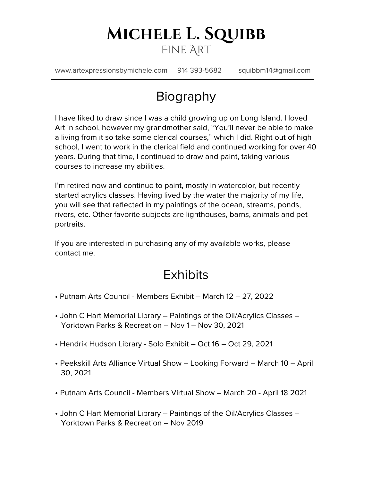## **Michele L. Squibb** Fine Art

www.artexpressionsbymichele.com 914 393-5682 squibbm14@gmail.com

# Biography

I have liked to draw since I was a child growing up on Long Island. I loved Art in school, however my grandmother said, "You'll never be able to make a living from it so take some clerical courses," which I did. Right out of high school, I went to work in the clerical field and continued working for over 40 years. During that time, I continued to draw and paint, taking various courses to increase my abilities.

I'm retired now and continue to paint, mostly in watercolor, but recently started acrylics classes. Having lived by the water the majority of my life, you will see that reflected in my paintings of the ocean, streams, ponds, rivers, etc. Other favorite subjects are lighthouses, barns, animals and pet portraits.

If you are interested in purchasing any of my available works, please contact me.

### **Exhibits**

- Putnam Arts Council Members Exhibit March 12 27, 2022
- John C Hart Memorial Library Paintings of the Oil/Acrylics Classes Yorktown Parks & Recreation – Nov 1 – Nov 30, 2021
- Hendrik Hudson Library Solo Exhibit Oct 16 Oct 29, 2021
- Peekskill Arts Alliance Virtual Show Looking Forward March 10 April 30, 2021
- Putnam Arts Council Members Virtual Show March 20 April 18 2021
- John C Hart Memorial Library Paintings of the Oil/Acrylics Classes Yorktown Parks & Recreation – Nov 2019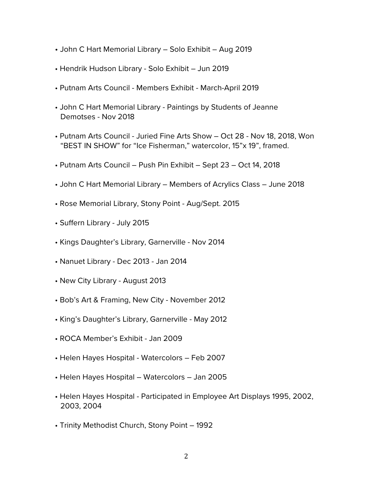- John C Hart Memorial Library Solo Exhibit Aug 2019
- Hendrik Hudson Library Solo Exhibit Jun 2019
- Putnam Arts Council Members Exhibit March-April 2019
- John C Hart Memorial Library Paintings by Students of Jeanne Demotses - Nov 2018
- Putnam Arts Council Juried Fine Arts Show Oct 28 Nov 18, 2018, Won "BEST IN SHOW" for "Ice Fisherman," watercolor, 15"x 19", framed.
- Putnam Arts Council Push Pin Exhibit Sept 23 Oct 14, 2018
- John C Hart Memorial Library Members of Acrylics Class June 2018
- Rose Memorial Library, Stony Point Aug/Sept. 2015
- Suffern Library July 2015
- Kings Daughter's Library, Garnerville Nov 2014
- Nanuet Library Dec 2013 Jan 2014
- New City Library August 2013
- Bob's Art & Framing, New City November 2012
- King's Daughter's Library, Garnerville May 2012
- ROCA Member's Exhibit Jan 2009
- Helen Hayes Hospital Watercolors Feb 2007
- Helen Hayes Hospital Watercolors Jan 2005
- Helen Hayes Hospital Participated in Employee Art Displays 1995, 2002, 2003, 2004
- Trinity Methodist Church, Stony Point 1992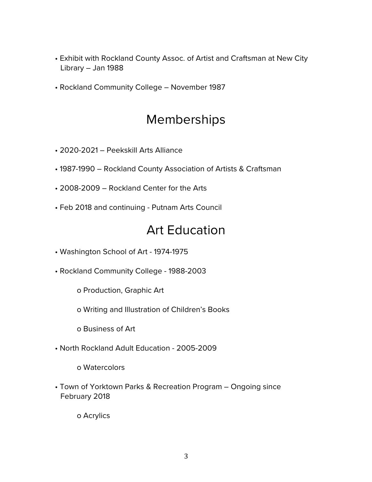- Exhibit with Rockland County Assoc. of Artist and Craftsman at New City Library – Jan 1988
- Rockland Community College November 1987

#### Memberships

- 2020-2021 Peekskill Arts Alliance
- 1987-1990 Rockland County Association of Artists & Craftsman
- 2008-2009 Rockland Center for the Arts
- Feb 2018 and continuing Putnam Arts Council

#### Art Education

- Washington School of Art 1974-1975
- Rockland Community College 1988-2003
	- o Production, Graphic Art
	- o Writing and Illustration of Children's Books
	- o Business of Art
- North Rockland Adult Education 2005-2009
	- o Watercolors
- Town of Yorktown Parks & Recreation Program Ongoing since February 2018

o Acrylics